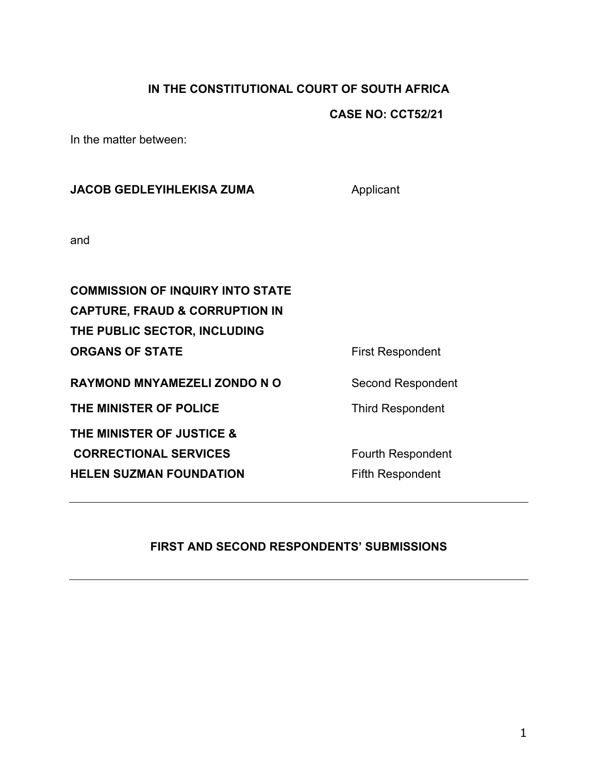## **IN THE CONSTITUTIONAL COURT OF SOUTH AFRICA**

## **CASE NO: CCT52/21**

In the matter between:

**JACOB GEDLEYIHLEKISA ZUMA** Applicant and **COMMISSION OF INQUIRY INTO STATE CAPTURE, FRAUD & CORRUPTION IN THE PUBLIC SECTOR, INCLUDING ORGANS OF STATE** First Respondent RAYMOND MNYAMEZELI ZONDO NO<br>
Second Respondent **THE MINISTER OF POLICE** Third Respondent **THE MINISTER OF JUSTICE & CORRECTIONAL SERVICES** Fourth Respondent **HELEN SUZMAN FOUNDATION** Fifth Respondent

# **FIRST AND SECOND RESPONDENTS' SUBMISSIONS**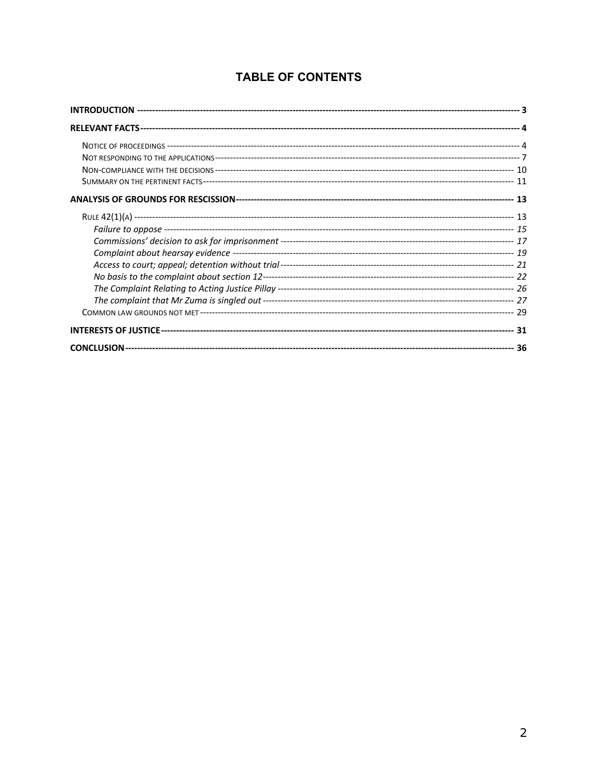# **TABLE OF CONTENTS**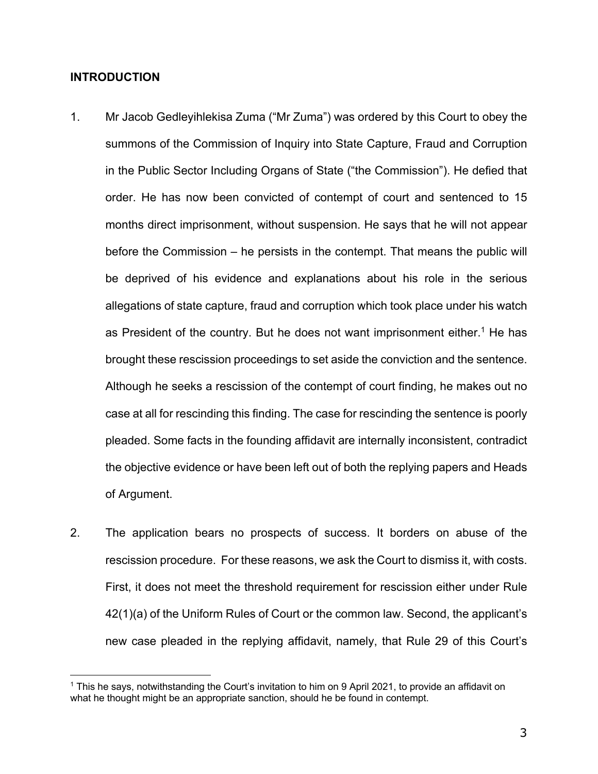#### **INTRODUCTION**

- 1. Mr Jacob Gedleyihlekisa Zuma ("Mr Zuma") was ordered by this Court to obey the summons of the Commission of Inquiry into State Capture, Fraud and Corruption in the Public Sector Including Organs of State ("the Commission"). He defied that order. He has now been convicted of contempt of court and sentenced to 15 months direct imprisonment, without suspension. He says that he will not appear before the Commission – he persists in the contempt. That means the public will be deprived of his evidence and explanations about his role in the serious allegations of state capture, fraud and corruption which took place under his watch as President of the country. But he does not want imprisonment either.<sup>1</sup> He has brought these rescission proceedings to set aside the conviction and the sentence. Although he seeks a rescission of the contempt of court finding, he makes out no case at all for rescinding this finding. The case for rescinding the sentence is poorly pleaded. Some facts in the founding affidavit are internally inconsistent, contradict the objective evidence or have been left out of both the replying papers and Heads of Argument.
- 2. The application bears no prospects of success. It borders on abuse of the rescission procedure. For these reasons, we ask the Court to dismiss it, with costs. First, it does not meet the threshold requirement for rescission either under Rule 42(1)(a) of the Uniform Rules of Court or the common law. Second, the applicant's new case pleaded in the replying affidavit, namely, that Rule 29 of this Court's

<sup>&</sup>lt;sup>1</sup> This he says, notwithstanding the Court's invitation to him on 9 April 2021, to provide an affidavit on what he thought might be an appropriate sanction, should he be found in contempt.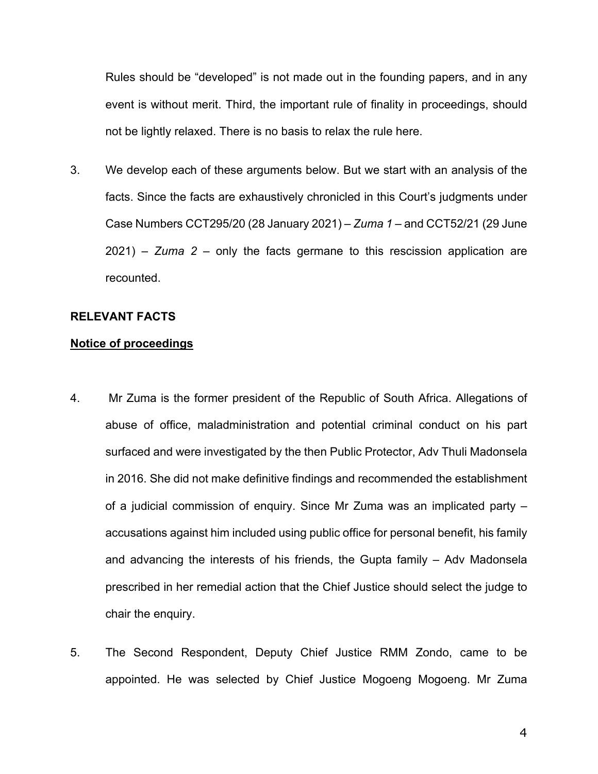Rules should be "developed" is not made out in the founding papers, and in any event is without merit. Third, the important rule of finality in proceedings, should not be lightly relaxed. There is no basis to relax the rule here.

3. We develop each of these arguments below. But we start with an analysis of the facts. Since the facts are exhaustively chronicled in this Court's judgments under Case Numbers CCT295/20 (28 January 2021) – *Zuma 1* – and CCT52/21 (29 June 2021) – *Zuma 2* – only the facts germane to this rescission application are recounted.

#### **RELEVANT FACTS**

## **Notice of proceedings**

- 4. Mr Zuma is the former president of the Republic of South Africa. Allegations of abuse of office, maladministration and potential criminal conduct on his part surfaced and were investigated by the then Public Protector, Adv Thuli Madonsela in 2016. She did not make definitive findings and recommended the establishment of a judicial commission of enquiry. Since Mr Zuma was an implicated party – accusations against him included using public office for personal benefit, his family and advancing the interests of his friends, the Gupta family – Adv Madonsela prescribed in her remedial action that the Chief Justice should select the judge to chair the enquiry.
- 5. The Second Respondent, Deputy Chief Justice RMM Zondo, came to be appointed. He was selected by Chief Justice Mogoeng Mogoeng. Mr Zuma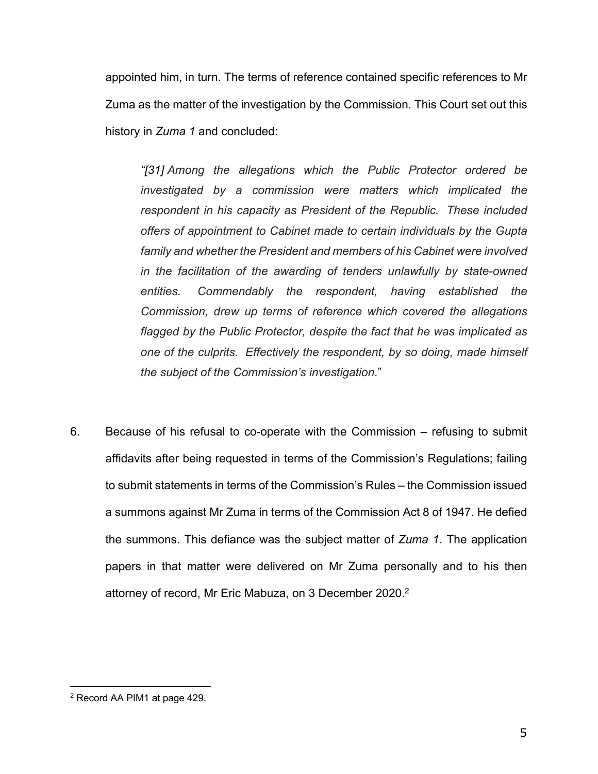appointed him, in turn. The terms of reference contained specific references to Mr Zuma as the matter of the investigation by the Commission. This Court set out this history in *Zuma 1* and concluded:

*"[31] Among the allegations which the Public Protector ordered be investigated by a commission were matters which implicated the respondent in his capacity as President of the Republic. These included offers of appointment to Cabinet made to certain individuals by the Gupta family and whether the President and members of his Cabinet were involved in the facilitation of the awarding of tenders unlawfully by state-owned entities. Commendably the respondent, having established the Commission, drew up terms of reference which covered the allegations flagged by the Public Protector, despite the fact that he was implicated as one of the culprits. Effectively the respondent, by so doing, made himself the subject of the Commission's investigation*."

6. Because of his refusal to co-operate with the Commission – refusing to submit affidavits after being requested in terms of the Commission's Regulations; failing to submit statements in terms of the Commission's Rules – the Commission issued a summons against Mr Zuma in terms of the Commission Act 8 of 1947. He defied the summons. This defiance was the subject matter of *Zuma 1*. The application papers in that matter were delivered on Mr Zuma personally and to his then attorney of record, Mr Eric Mabuza, on 3 December 2020.<sup>2</sup>

<sup>2</sup> Record AA PIM1 at page 429.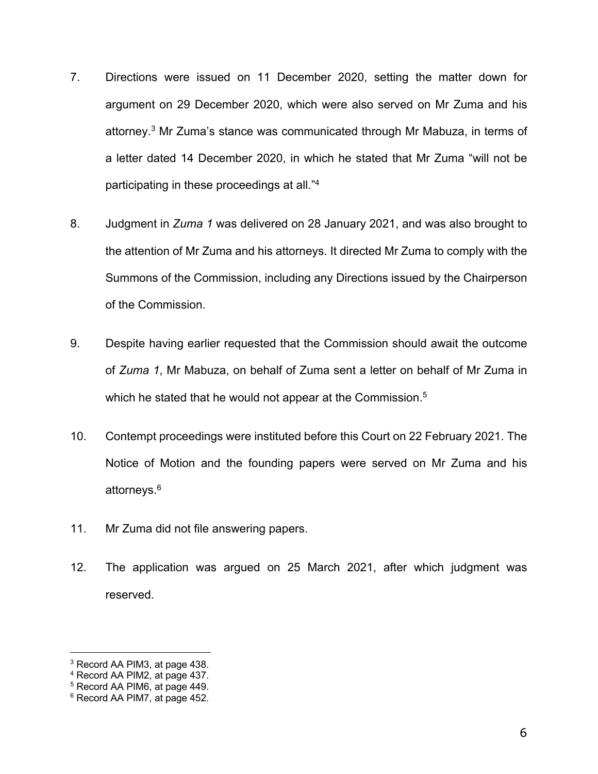- 7. Directions were issued on 11 December 2020, setting the matter down for argument on 29 December 2020, which were also served on Mr Zuma and his attorney.3 Mr Zuma's stance was communicated through Mr Mabuza, in terms of a letter dated 14 December 2020, in which he stated that Mr Zuma "will not be participating in these proceedings at all."4
- 8. Judgment in *Zuma 1* was delivered on 28 January 2021, and was also brought to the attention of Mr Zuma and his attorneys. It directed Mr Zuma to comply with the Summons of the Commission, including any Directions issued by the Chairperson of the Commission.
- 9. Despite having earlier requested that the Commission should await the outcome of *Zuma 1*, Mr Mabuza, on behalf of Zuma sent a letter on behalf of Mr Zuma in which he stated that he would not appear at the Commission.<sup>5</sup>
- 10. Contempt proceedings were instituted before this Court on 22 February 2021. The Notice of Motion and the founding papers were served on Mr Zuma and his attorneys. 6
- 11. Mr Zuma did not file answering papers.
- 12. The application was argued on 25 March 2021, after which judgment was reserved.

<sup>3</sup> Record AA PIM3, at page 438.

<sup>4</sup> Record AA PIM2, at page 437.

 $5$  Record AA PIM6, at page 449.

<sup>6</sup> Record AA PIM7, at page 452.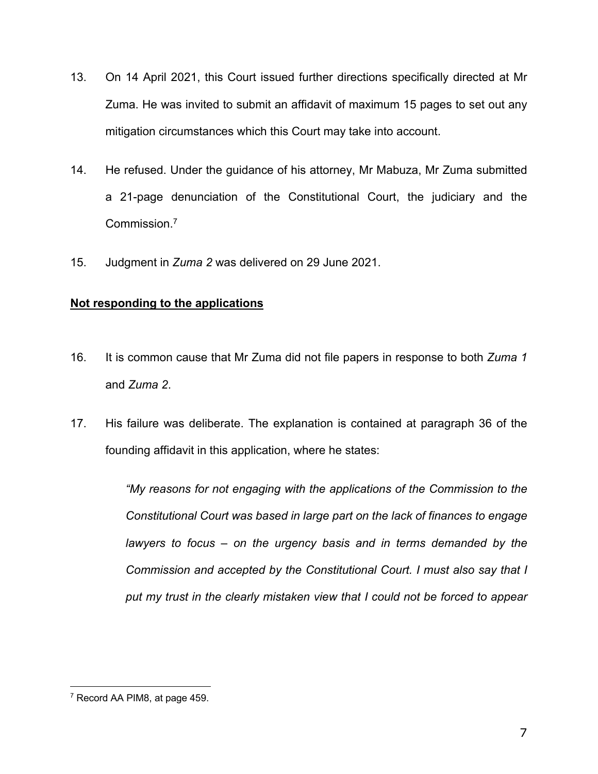- 13. On 14 April 2021, this Court issued further directions specifically directed at Mr Zuma. He was invited to submit an affidavit of maximum 15 pages to set out any mitigation circumstances which this Court may take into account.
- 14. He refused. Under the guidance of his attorney, Mr Mabuza, Mr Zuma submitted a 21-page denunciation of the Constitutional Court, the judiciary and the Commission.7
- 15. Judgment in *Zuma 2* was delivered on 29 June 2021.

# **Not responding to the applications**

- 16. It is common cause that Mr Zuma did not file papers in response to both *Zuma 1* and *Zuma 2*.
- 17. His failure was deliberate. The explanation is contained at paragraph 36 of the founding affidavit in this application, where he states:

*"My reasons for not engaging with the applications of the Commission to the Constitutional Court was based in large part on the lack of finances to engage lawyers to focus – on the urgency basis and in terms demanded by the Commission and accepted by the Constitutional Court. I must also say that I put my trust in the clearly mistaken view that I could not be forced to appear* 

<sup>7</sup> Record AA PIM8, at page 459.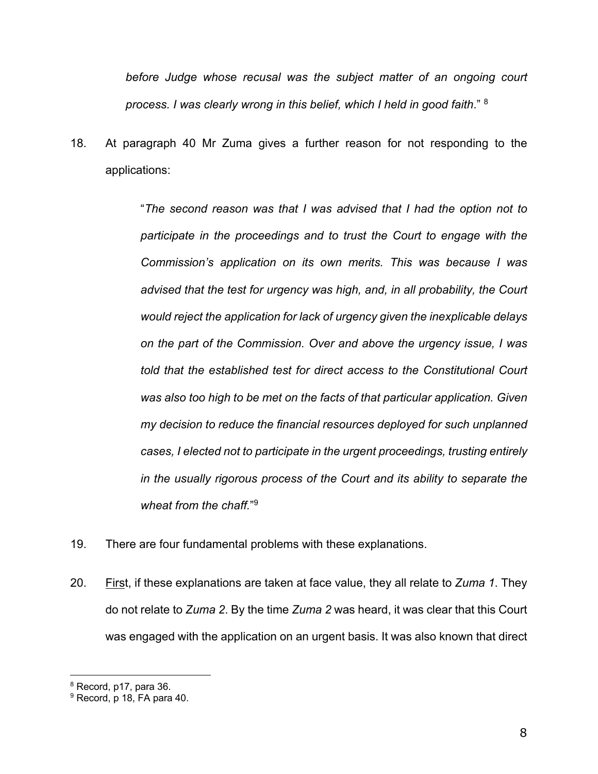*before Judge whose recusal was the subject matter of an ongoing court process. I was clearly wrong in this belief, which I held in good faith*." 8

18. At paragraph 40 Mr Zuma gives a further reason for not responding to the applications:

> "*The second reason was that I was advised that I had the option not to participate in the proceedings and to trust the Court to engage with the Commission's application on its own merits. This was because I was advised that the test for urgency was high, and, in all probability, the Court would reject the application for lack of urgency given the inexplicable delays on the part of the Commission. Over and above the urgency issue, I was told that the established test for direct access to the Constitutional Court was also too high to be met on the facts of that particular application. Given my decision to reduce the financial resources deployed for such unplanned cases, I elected not to participate in the urgent proceedings, trusting entirely in the usually rigorous process of the Court and its ability to separate the wheat from the chaff.*"9

- 19. There are four fundamental problems with these explanations.
- 20. First, if these explanations are taken at face value, they all relate to *Zuma 1*. They do not relate to *Zuma 2*. By the time *Zuma 2* was heard, it was clear that this Court was engaged with the application on an urgent basis. It was also known that direct

<sup>&</sup>lt;sup>8</sup> Record, p17, para 36.

<sup>9</sup> Record, p 18, FA para 40.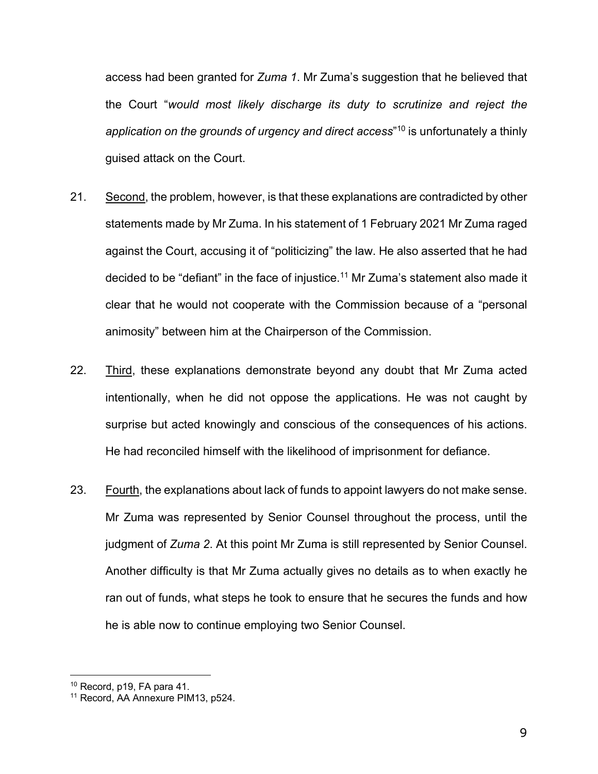access had been granted for *Zuma 1*. Mr Zuma's suggestion that he believed that the Court "*would most likely discharge its duty to scrutinize and reject the application on the grounds of urgency and direct access*" <sup>10</sup> is unfortunately a thinly guised attack on the Court.

- 21. Second, the problem, however, is that these explanations are contradicted by other statements made by Mr Zuma. In his statement of 1 February 2021 Mr Zuma raged against the Court, accusing it of "politicizing" the law. He also asserted that he had decided to be "defiant" in the face of injustice.<sup>11</sup> Mr Zuma's statement also made it clear that he would not cooperate with the Commission because of a "personal animosity" between him at the Chairperson of the Commission.
- 22. Third, these explanations demonstrate beyond any doubt that Mr Zuma acted intentionally, when he did not oppose the applications. He was not caught by surprise but acted knowingly and conscious of the consequences of his actions. He had reconciled himself with the likelihood of imprisonment for defiance.
- 23. Fourth, the explanations about lack of funds to appoint lawyers do not make sense. Mr Zuma was represented by Senior Counsel throughout the process, until the judgment of *Zuma 2*. At this point Mr Zuma is still represented by Senior Counsel. Another difficulty is that Mr Zuma actually gives no details as to when exactly he ran out of funds, what steps he took to ensure that he secures the funds and how he is able now to continue employing two Senior Counsel.

<sup>10</sup> Record, p19, FA para 41.

<sup>11</sup> Record, AA Annexure PIM13, p524.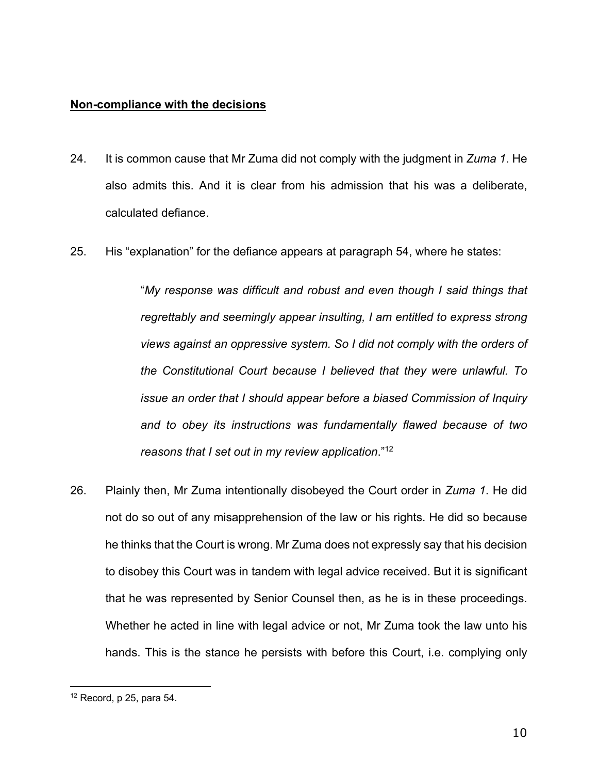#### **Non-compliance with the decisions**

- 24. It is common cause that Mr Zuma did not comply with the judgment in *Zuma 1*. He also admits this. And it is clear from his admission that his was a deliberate, calculated defiance.
- 25. His "explanation" for the defiance appears at paragraph 54, where he states:

"*My response was difficult and robust and even though I said things that regrettably and seemingly appear insulting, I am entitled to express strong views against an oppressive system. So I did not comply with the orders of the Constitutional Court because I believed that they were unlawful. To issue an order that I should appear before a biased Commission of Inquiry and to obey its instructions was fundamentally flawed because of two reasons that I set out in my review application*."12

26. Plainly then, Mr Zuma intentionally disobeyed the Court order in *Zuma 1*. He did not do so out of any misapprehension of the law or his rights. He did so because he thinks that the Court is wrong. Mr Zuma does not expressly say that his decision to disobey this Court was in tandem with legal advice received. But it is significant that he was represented by Senior Counsel then, as he is in these proceedings. Whether he acted in line with legal advice or not, Mr Zuma took the law unto his hands. This is the stance he persists with before this Court, i.e. complying only

 $12$  Record, p 25, para 54.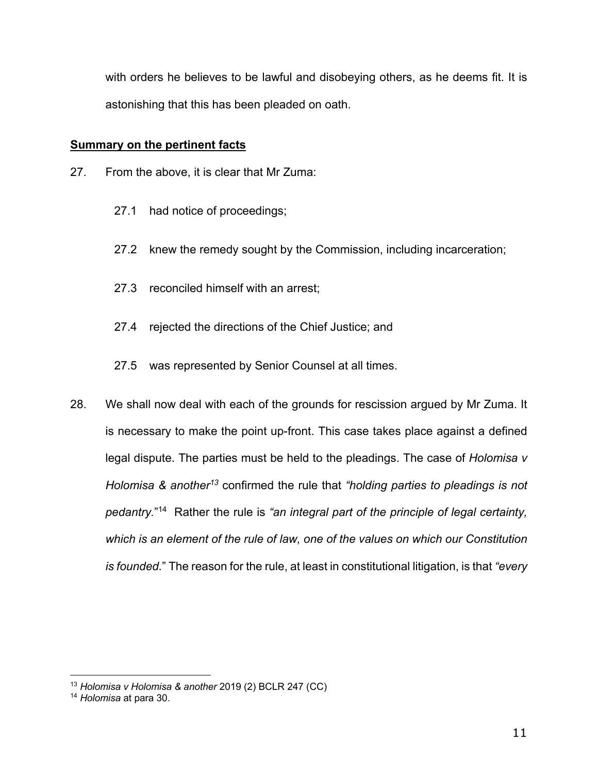with orders he believes to be lawful and disobeying others, as he deems fit. It is astonishing that this has been pleaded on oath.

## **Summary on the pertinent facts**

- 27. From the above, it is clear that Mr Zuma:
	- 27.1 had notice of proceedings;
	- 27.2 knew the remedy sought by the Commission, including incarceration;
	- 27.3 reconciled himself with an arrest;
	- 27.4 rejected the directions of the Chief Justice; and
	- 27.5 was represented by Senior Counsel at all times.
- 28. We shall now deal with each of the grounds for rescission argued by Mr Zuma. It is necessary to make the point up-front. This case takes place against a defined legal dispute. The parties must be held to the pleadings. The case of *Holomisa v Holomisa & another13* confirmed the rule that *"holding parties to pleadings is not pedantry.*" 14 Rather the rule is *"an integral part of the principle of legal certainty, which is an element of the rule of law, one of the values on which our Constitution is founded.*" The reason for the rule, at least in constitutional litigation, is that *"every*

<sup>13</sup> *Holomisa v Holomisa & another* 2019 (2) BCLR 247 (CC)

<sup>14</sup> *Holomisa* at para 30.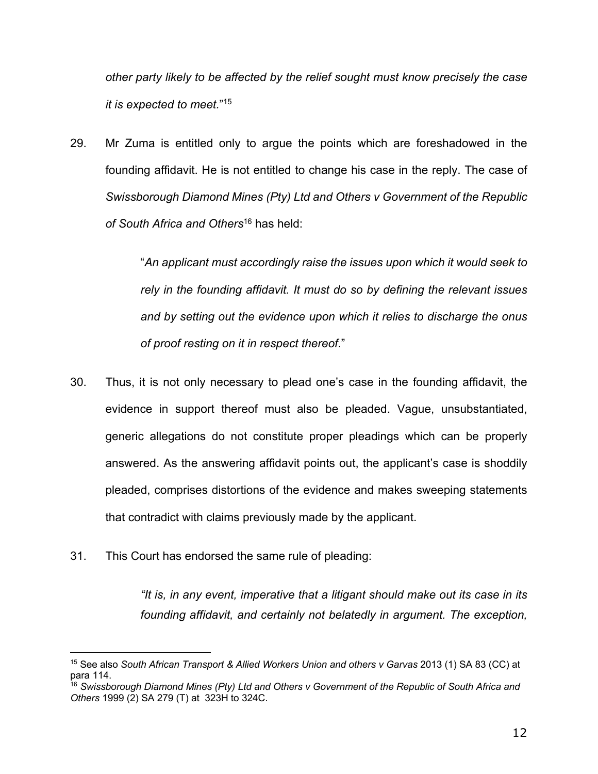*other party likely to be affected by the relief sought must know precisely the case it is expected to meet.*" 15

29. Mr Zuma is entitled only to argue the points which are foreshadowed in the founding affidavit. He is not entitled to change his case in the reply. The case of *Swissborough Diamond Mines (Pty) Ltd and Others v Government of the Republic of South Africa and Others*<sup>16</sup> has held:

> "*An applicant must accordingly raise the issues upon which it would seek to rely in the founding affidavit. It must do so by defining the relevant issues and by setting out the evidence upon which it relies to discharge the onus of proof resting on it in respect thereof*."

- 30. Thus, it is not only necessary to plead one's case in the founding affidavit, the evidence in support thereof must also be pleaded. Vague, unsubstantiated, generic allegations do not constitute proper pleadings which can be properly answered. As the answering affidavit points out, the applicant's case is shoddily pleaded, comprises distortions of the evidence and makes sweeping statements that contradict with claims previously made by the applicant.
- 31. This Court has endorsed the same rule of pleading:

*"It is, in any event, imperative that a litigant should make out its case in its founding affidavit, and certainly not belatedly in argument. The exception,* 

<sup>&</sup>lt;sup>15</sup> See also *South African Transport & Allied Workers Union and others v Garvas 2013 (1) SA 83 (CC) at* para 114.

<sup>16</sup> *Swissborough Diamond Mines (Pty) Ltd and Others v Government of the Republic of South Africa and Others* 1999 (2) SA 279 (T) at 323H to 324C.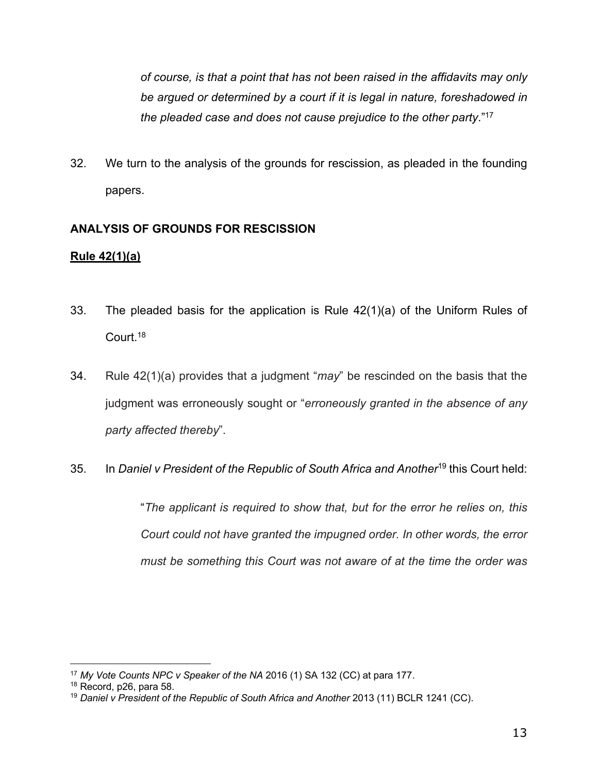*of course, is that a point that has not been raised in the affidavits may only be argued or determined by a court if it is legal in nature, foreshadowed in the pleaded case and does not cause prejudice to the other party*."17

32. We turn to the analysis of the grounds for rescission, as pleaded in the founding papers.

## **ANALYSIS OF GROUNDS FOR RESCISSION**

## **Rule 42(1)(a)**

- 33. The pleaded basis for the application is Rule 42(1)(a) of the Uniform Rules of Court.18
- 34. Rule 42(1)(a) provides that a judgment "*may*" be rescinded on the basis that the judgment was erroneously sought or "*erroneously granted in the absence of any party affected thereby*".

# 35. In *Daniel v President of the Republic of South Africa and Another*<sup>19</sup> this Court held:

"*The applicant is required to show that, but for the error he relies on, this Court could not have granted the impugned order. In other words, the error must be something this Court was not aware of at the time the order was* 

<sup>17</sup> *My Vote Counts NPC v Speaker of the NA* 2016 (1) SA 132 (CC) at para 177.

<sup>18</sup> Record, p26, para 58.

<sup>&</sup>lt;sup>19</sup> Daniel v President of the Republic of South Africa and Another 2013 (11) BCLR 1241 (CC).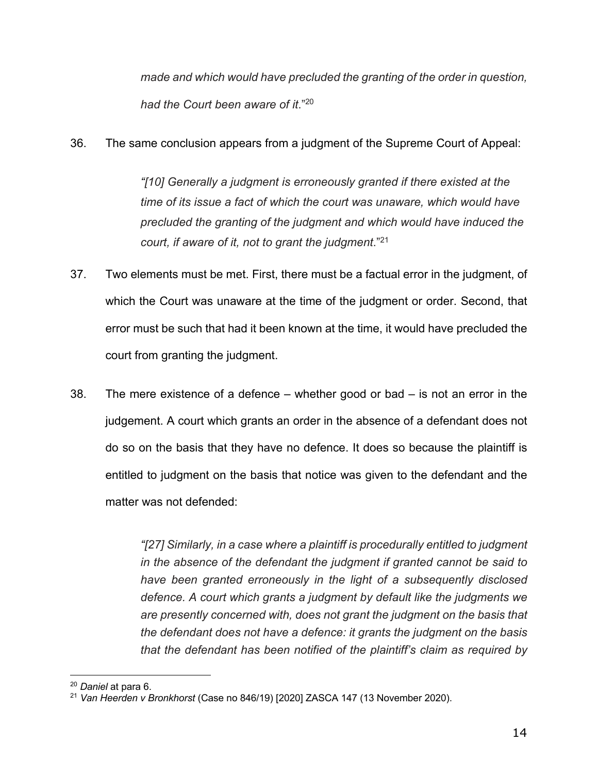*made and which would have precluded the granting of the order in question, had the Court been aware of it*." 20

36. The same conclusion appears from a judgment of the Supreme Court of Appeal:

*"[10] Generally a judgment is erroneously granted if there existed at the time of its issue a fact of which the court was unaware, which would have precluded the granting of the judgment and which would have induced the court, if aware of it, not to grant the judgment*."21

- 37. Two elements must be met. First, there must be a factual error in the judgment, of which the Court was unaware at the time of the judgment or order. Second, that error must be such that had it been known at the time, it would have precluded the court from granting the judgment.
- 38. The mere existence of a defence whether good or bad is not an error in the judgement. A court which grants an order in the absence of a defendant does not do so on the basis that they have no defence. It does so because the plaintiff is entitled to judgment on the basis that notice was given to the defendant and the matter was not defended:

*"[27] Similarly, in a case where a plaintiff is procedurally entitled to judgment in the absence of the defendant the judgment if granted cannot be said to have been granted erroneously in the light of a subsequently disclosed defence. A court which grants a judgment by default like the judgments we are presently concerned with, does not grant the judgment on the basis that the defendant does not have a defence: it grants the judgment on the basis that the defendant has been notified of the plaintiff's claim as required by* 

<sup>20</sup> *Daniel* at para 6.

<sup>21</sup> *Van Heerden v Bronkhorst* (Case no 846/19) [2020] ZASCA 147 (13 November 2020).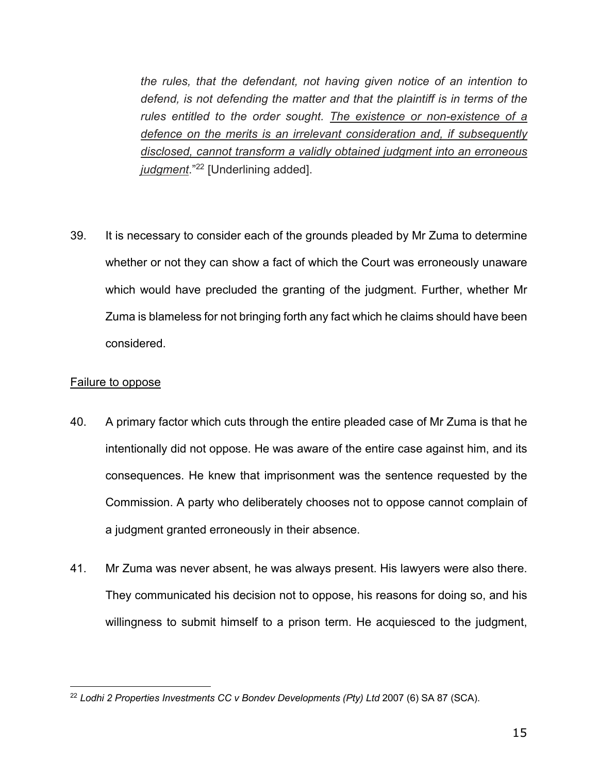*the rules, that the defendant, not having given notice of an intention to defend, is not defending the matter and that the plaintiff is in terms of the rules entitled to the order sought. The existence or non-existence of a defence on the merits is an irrelevant consideration and, if subsequently disclosed, cannot transform a validly obtained judgment into an erroneous judgment*."22 [Underlining added].

39. It is necessary to consider each of the grounds pleaded by Mr Zuma to determine whether or not they can show a fact of which the Court was erroneously unaware which would have precluded the granting of the judgment. Further, whether Mr Zuma is blameless for not bringing forth any fact which he claims should have been considered.

#### Failure to oppose

- 40. A primary factor which cuts through the entire pleaded case of Mr Zuma is that he intentionally did not oppose. He was aware of the entire case against him, and its consequences. He knew that imprisonment was the sentence requested by the Commission. A party who deliberately chooses not to oppose cannot complain of a judgment granted erroneously in their absence.
- 41. Mr Zuma was never absent, he was always present. His lawyers were also there. They communicated his decision not to oppose, his reasons for doing so, and his willingness to submit himself to a prison term. He acquiesced to the judgment,

<sup>22</sup> *Lodhi 2 Properties Investments CC v Bondev Developments (Pty) Ltd* 2007 (6) SA 87 (SCA).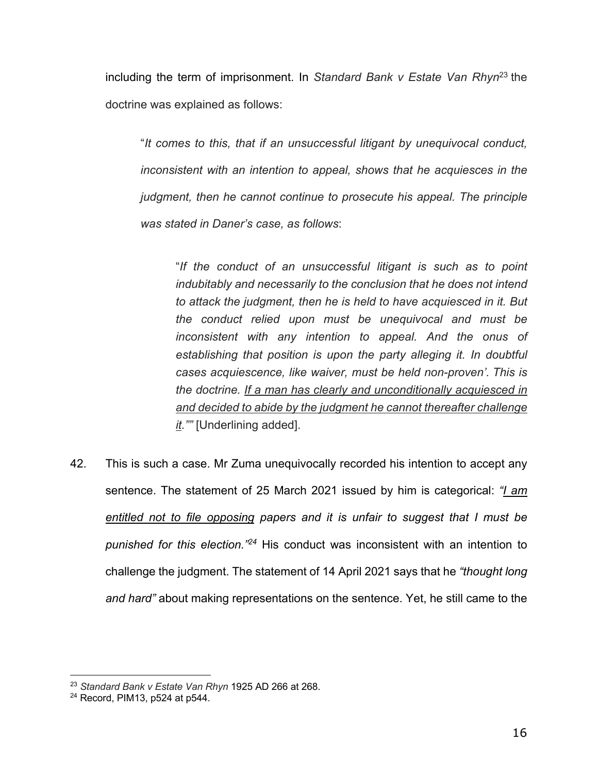including the term of imprisonment. In *Standard Bank v Estate Van Rhyn*<sup>23</sup> the doctrine was explained as follows:

"*It comes to this, that if an unsuccessful litigant by unequivocal conduct, inconsistent with an intention to appeal, shows that he acquiesces in the judgment, then he cannot continue to prosecute his appeal. The principle was stated in Daner's case, as follows*:

"*If the conduct of an unsuccessful litigant is such as to point indubitably and necessarily to the conclusion that he does not intend to attack the judgment, then he is held to have acquiesced in it. But the conduct relied upon must be unequivocal and must be inconsistent with any intention to appeal. And the onus of establishing that position is upon the party alleging it. In doubtful cases acquiescence, like waiver, must be held non-proven'. This is the doctrine. If a man has clearly and unconditionally acquiesced in and decided to abide by the judgment he cannot thereafter challenge it.""* [Underlining added].

42. This is such a case. Mr Zuma unequivocally recorded his intention to accept any sentence. The statement of 25 March 2021 issued by him is categorical: *"I am entitled not to file opposing papers and it is unfair to suggest that I must be punished for this election."24* His conduct was inconsistent with an intention to challenge the judgment. The statement of 14 April 2021 says that he *"thought long and hard"* about making representations on the sentence. Yet, he still came to the

<sup>23</sup> *Standard Bank v Estate Van Rhyn* 1925 AD 266 at 268.

<sup>24</sup> Record, PIM13, p524 at p544.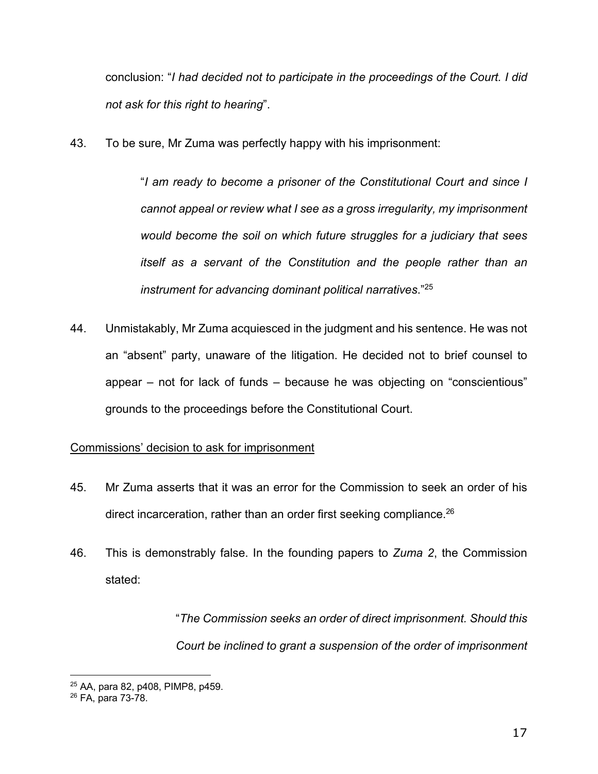conclusion: "*I had decided not to participate in the proceedings of the Court. I did not ask for this right to hearing*".

43. To be sure, Mr Zuma was perfectly happy with his imprisonment:

"*I am ready to become a prisoner of the Constitutional Court and since I cannot appeal or review what I see as a gross irregularity, my imprisonment would become the soil on which future struggles for a judiciary that sees itself as a servant of the Constitution and the people rather than an instrument for advancing dominant political narratives*."25

44. Unmistakably, Mr Zuma acquiesced in the judgment and his sentence. He was not an "absent" party, unaware of the litigation. He decided not to brief counsel to appear – not for lack of funds – because he was objecting on "conscientious" grounds to the proceedings before the Constitutional Court.

# Commissions' decision to ask for imprisonment

- 45. Mr Zuma asserts that it was an error for the Commission to seek an order of his direct incarceration, rather than an order first seeking compliance.<sup>26</sup>
- 46. This is demonstrably false. In the founding papers to *Zuma 2*, the Commission stated:

"*The Commission seeks an order of direct imprisonment. Should this Court be inclined to grant a suspension of the order of imprisonment* 

<sup>25</sup> AA, para 82, p408, PIMP8, p459.

<sup>26</sup> FA, para 73-78.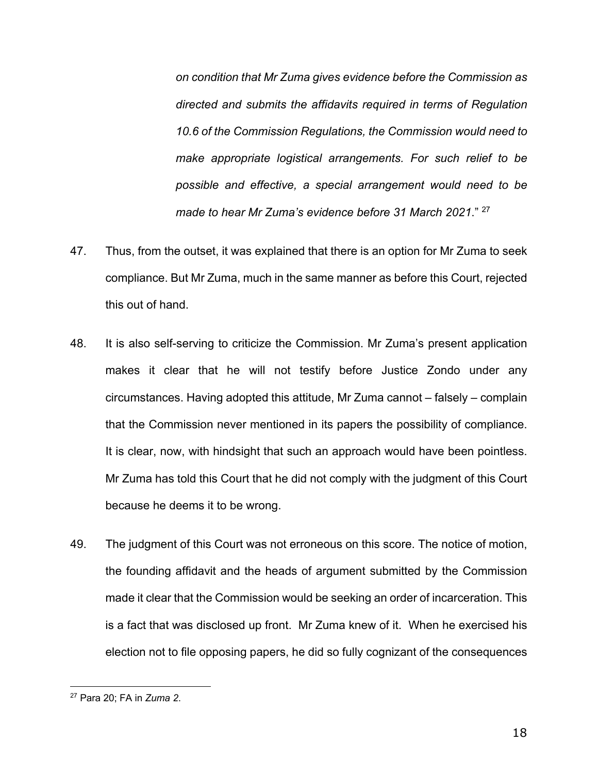*on condition that Mr Zuma gives evidence before the Commission as directed and submits the affidavits required in terms of Regulation 10.6 of the Commission Regulations, the Commission would need to make appropriate logistical arrangements. For such relief to be possible and effective, a special arrangement would need to be made to hear Mr Zuma's evidence before 31 March 2021*." <sup>27</sup>

- 47. Thus, from the outset, it was explained that there is an option for Mr Zuma to seek compliance. But Mr Zuma, much in the same manner as before this Court, rejected this out of hand.
- 48. It is also self-serving to criticize the Commission. Mr Zuma's present application makes it clear that he will not testify before Justice Zondo under any circumstances. Having adopted this attitude, Mr Zuma cannot – falsely – complain that the Commission never mentioned in its papers the possibility of compliance. It is clear, now, with hindsight that such an approach would have been pointless. Mr Zuma has told this Court that he did not comply with the judgment of this Court because he deems it to be wrong.
- 49. The judgment of this Court was not erroneous on this score. The notice of motion, the founding affidavit and the heads of argument submitted by the Commission made it clear that the Commission would be seeking an order of incarceration. This is a fact that was disclosed up front. Mr Zuma knew of it. When he exercised his election not to file opposing papers, he did so fully cognizant of the consequences

<sup>27</sup> Para 20; FA in *Zuma 2*.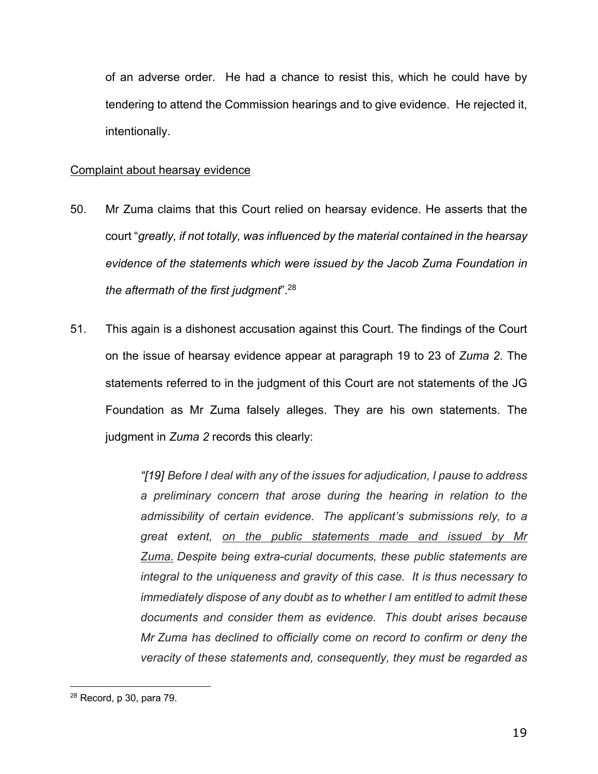of an adverse order. He had a chance to resist this, which he could have by tendering to attend the Commission hearings and to give evidence. He rejected it, intentionally.

#### Complaint about hearsay evidence

- 50. Mr Zuma claims that this Court relied on hearsay evidence. He asserts that the court "*greatly, if not totally, was influenced by the material contained in the hearsay evidence of the statements which were issued by the Jacob Zuma Foundation in the aftermath of the first judgment*".28
- 51. This again is a dishonest accusation against this Court. The findings of the Court on the issue of hearsay evidence appear at paragraph 19 to 23 of *Zuma 2*. The statements referred to in the judgment of this Court are not statements of the JG Foundation as Mr Zuma falsely alleges. They are his own statements. The judgment in *Zuma 2* records this clearly:

*"[19] Before I deal with any of the issues for adjudication, I pause to address a preliminary concern that arose during the hearing in relation to the admissibility of certain evidence. The applicant's submissions rely, to a great extent, on the public statements made and issued by Mr Zuma. Despite being extra-curial documents, these public statements are integral to the uniqueness and gravity of this case. It is thus necessary to immediately dispose of any doubt as to whether I am entitled to admit these documents and consider them as evidence. This doubt arises because Mr Zuma has declined to officially come on record to confirm or deny the veracity of these statements and, consequently, they must be regarded as* 

<sup>28</sup> Record, p 30, para 79.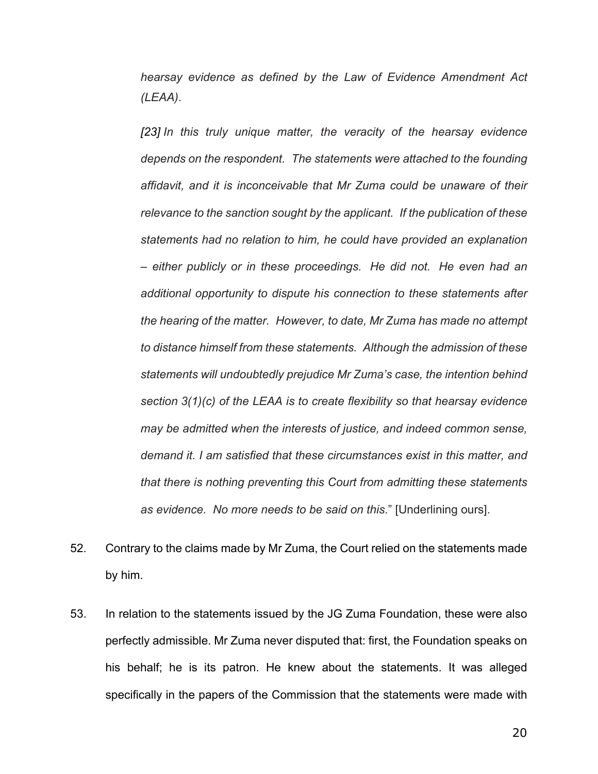*hearsay evidence as defined by the Law of Evidence Amendment Act (LEAA)*.

*[23] In this truly unique matter, the veracity of the hearsay evidence depends on the respondent. The statements were attached to the founding affidavit, and it is inconceivable that Mr Zuma could be unaware of their relevance to the sanction sought by the applicant. If the publication of these statements had no relation to him, he could have provided an explanation – either publicly or in these proceedings. He did not. He even had an additional opportunity to dispute his connection to these statements after the hearing of the matter. However, to date, Mr Zuma has made no attempt to distance himself from these statements. Although the admission of these statements will undoubtedly prejudice Mr Zuma's case, the intention behind section 3(1)(c) of the LEAA is to create flexibility so that hearsay evidence may be admitted when the interests of justice, and indeed common sense, demand it. I am satisfied that these circumstances exist in this matter, and that there is nothing preventing this Court from admitting these statements as evidence. No more needs to be said on this*." [Underlining ours].

- 52. Contrary to the claims made by Mr Zuma, the Court relied on the statements made by him.
- 53. In relation to the statements issued by the JG Zuma Foundation, these were also perfectly admissible. Mr Zuma never disputed that: first, the Foundation speaks on his behalf; he is its patron. He knew about the statements. It was alleged specifically in the papers of the Commission that the statements were made with

20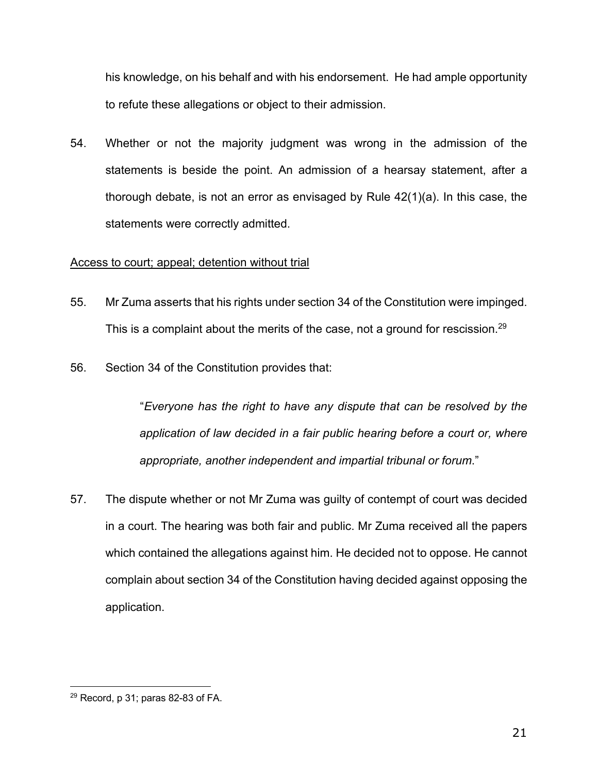his knowledge, on his behalf and with his endorsement. He had ample opportunity to refute these allegations or object to their admission.

54. Whether or not the majority judgment was wrong in the admission of the statements is beside the point. An admission of a hearsay statement, after a thorough debate, is not an error as envisaged by Rule 42(1)(a). In this case, the statements were correctly admitted.

## Access to court; appeal; detention without trial

- 55. Mr Zuma asserts that his rights under section 34 of the Constitution were impinged. This is a complaint about the merits of the case, not a ground for rescission.<sup>29</sup>
- 56. Section 34 of the Constitution provides that:

"*Everyone has the right to have any dispute that can be resolved by the application of law decided in a fair public hearing before a court or, where appropriate, another independent and impartial tribunal or forum*."

57. The dispute whether or not Mr Zuma was guilty of contempt of court was decided in a court. The hearing was both fair and public. Mr Zuma received all the papers which contained the allegations against him. He decided not to oppose. He cannot complain about section 34 of the Constitution having decided against opposing the application.

 $29$  Record, p 31; paras 82-83 of FA.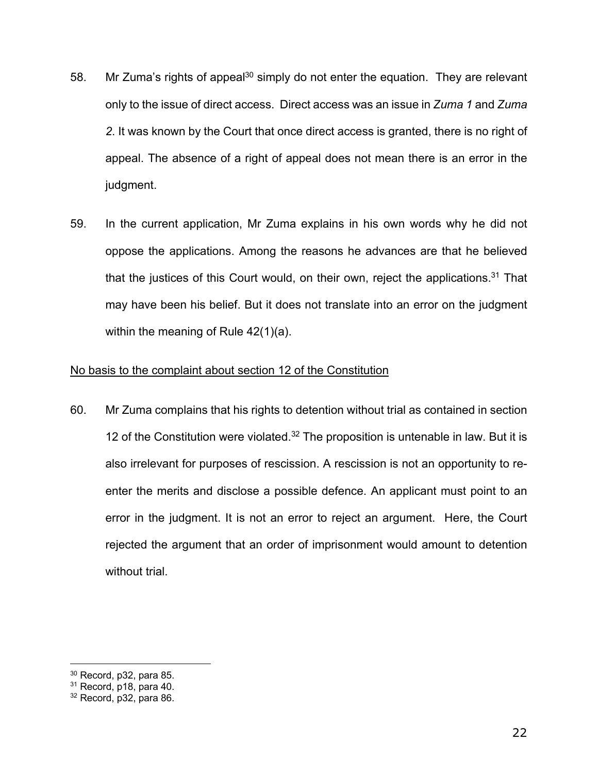- 58. Mr Zuma's rights of appeal<sup>30</sup> simply do not enter the equation. They are relevant only to the issue of direct access. Direct access was an issue in *Zuma 1* and *Zuma 2*. It was known by the Court that once direct access is granted, there is no right of appeal. The absence of a right of appeal does not mean there is an error in the judgment.
- 59. In the current application, Mr Zuma explains in his own words why he did not oppose the applications. Among the reasons he advances are that he believed that the justices of this Court would, on their own, reject the applications.<sup>31</sup> That may have been his belief. But it does not translate into an error on the judgment within the meaning of Rule 42(1)(a).

#### No basis to the complaint about section 12 of the Constitution

60. Mr Zuma complains that his rights to detention without trial as contained in section 12 of the Constitution were violated. $32$  The proposition is untenable in law. But it is also irrelevant for purposes of rescission. A rescission is not an opportunity to reenter the merits and disclose a possible defence. An applicant must point to an error in the judgment. It is not an error to reject an argument. Here, the Court rejected the argument that an order of imprisonment would amount to detention without trial.

 $30$  Record, p32, para 85.

<sup>&</sup>lt;sup>31</sup> Record, p18, para 40.

<sup>32</sup> Record, p32, para 86.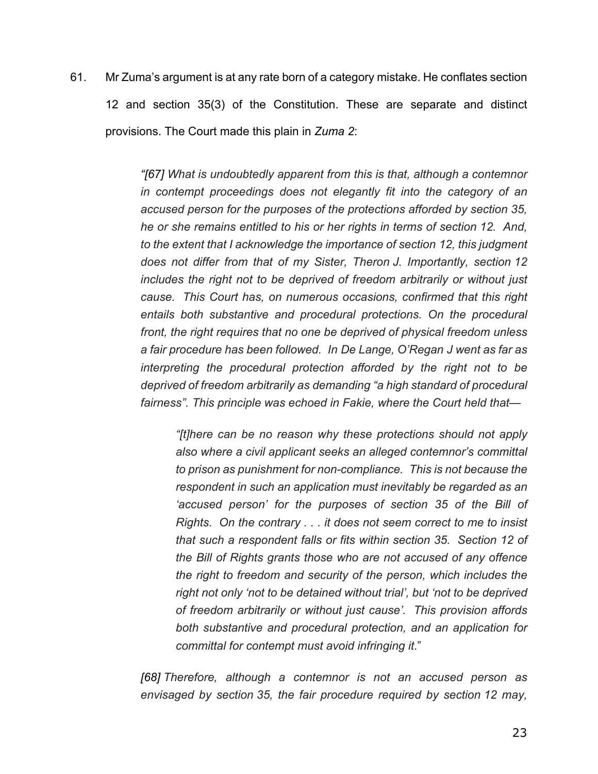61. Mr Zuma's argument is at any rate born of a category mistake. He conflates section 12 and section 35(3) of the Constitution. These are separate and distinct provisions. The Court made this plain in *Zuma 2*:

> *"[67] What is undoubtedly apparent from this is that, although a contemnor in contempt proceedings does not elegantly fit into the category of an accused person for the purposes of the protections afforded by section 35, he or she remains entitled to his or her rights in terms of section 12. And, to the extent that I acknowledge the importance of section 12, this judgment does not differ from that of my Sister, Theron J. Importantly, section 12 includes the right not to be deprived of freedom arbitrarily or without just cause. This Court has, on numerous occasions, confirmed that this right entails both substantive and procedural protections. On the procedural front, the right requires that no one be deprived of physical freedom unless a fair procedure has been followed. In De Lange, O'Regan J went as far as interpreting the procedural protection afforded by the right not to be deprived of freedom arbitrarily as demanding "a high standard of procedural fairness". This principle was echoed in Fakie, where the Court held that—*

*"[t]here can be no reason why these protections should not apply also where a civil applicant seeks an alleged contemnor's committal to prison as punishment for non-compliance. This is not because the respondent in such an application must inevitably be regarded as an 'accused person' for the purposes of section 35 of the Bill of Rights. On the contrary . . . it does not seem correct to me to insist that such a respondent falls or fits within section 35. Section 12 of the Bill of Rights grants those who are not accused of any offence the right to freedom and security of the person, which includes the right not only 'not to be detained without trial', but 'not to be deprived of freedom arbitrarily or without just cause'. This provision affords both substantive and procedural protection, and an application for committal for contempt must avoid infringing it*."

*[68] Therefore, although a contemnor is not an accused person as envisaged by section 35, the fair procedure required by section 12 may,*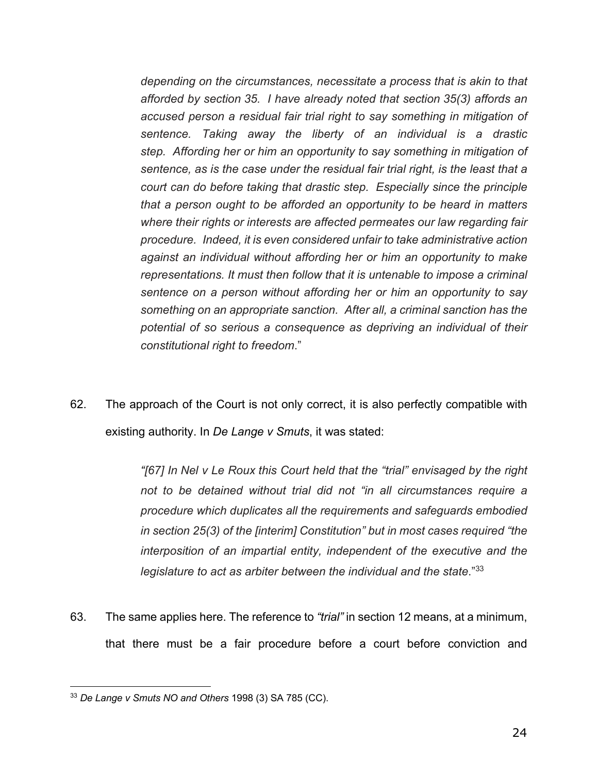*depending on the circumstances, necessitate a process that is akin to that afforded by section 35. I have already noted that section 35(3) affords an accused person a residual fair trial right to say something in mitigation of sentence. Taking away the liberty of an individual is a drastic step. Affording her or him an opportunity to say something in mitigation of sentence, as is the case under the residual fair trial right, is the least that a court can do before taking that drastic step. Especially since the principle that a person ought to be afforded an opportunity to be heard in matters where their rights or interests are affected permeates our law regarding fair procedure. Indeed, it is even considered unfair to take administrative action against an individual without affording her or him an opportunity to make representations. It must then follow that it is untenable to impose a criminal sentence on a person without affording her or him an opportunity to say something on an appropriate sanction. After all, a criminal sanction has the potential of so serious a consequence as depriving an individual of their constitutional right to freedom*."

62. The approach of the Court is not only correct, it is also perfectly compatible with existing authority. In *De Lange v Smuts*, it was stated:

> *"[67] In Nel v Le Roux this Court held that the "trial" envisaged by the right not to be detained without trial did not "in all circumstances require a procedure which duplicates all the requirements and safeguards embodied in section 25(3) of the [interim] Constitution" but in most cases required "the interposition of an impartial entity, independent of the executive and the legislature to act as arbiter between the individual and the state*."33

63. The same applies here. The reference to *"trial"* in section 12 means, at a minimum, that there must be a fair procedure before a court before conviction and

<sup>33</sup> *De Lange v Smuts NO and Others* 1998 (3) SA 785 (CC).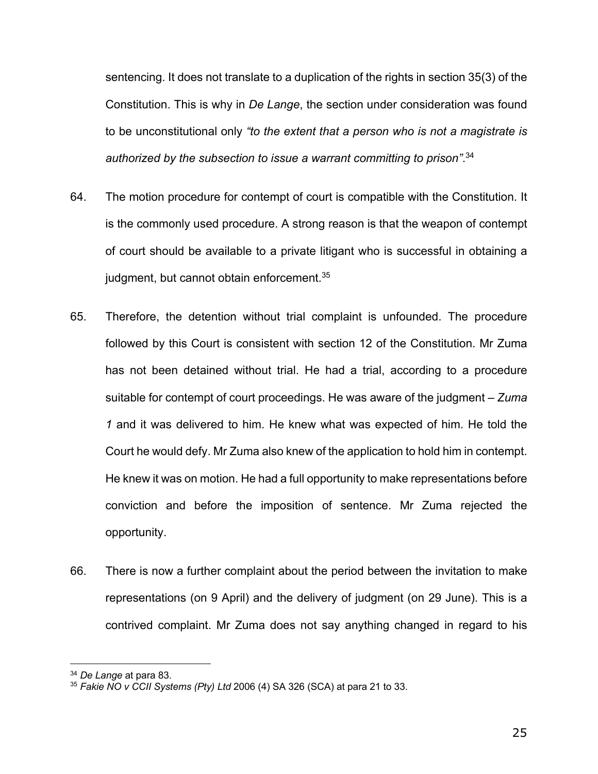sentencing. It does not translate to a duplication of the rights in section 35(3) of the Constitution. This is why in *De Lange*, the section under consideration was found to be unconstitutional only *"to the extent that a person who is not a magistrate is authorized by the subsection to issue a warrant committing to prison"*. 34

- 64. The motion procedure for contempt of court is compatible with the Constitution. It is the commonly used procedure. A strong reason is that the weapon of contempt of court should be available to a private litigant who is successful in obtaining a judgment, but cannot obtain enforcement.<sup>35</sup>
- 65. Therefore, the detention without trial complaint is unfounded. The procedure followed by this Court is consistent with section 12 of the Constitution. Mr Zuma has not been detained without trial. He had a trial, according to a procedure suitable for contempt of court proceedings. He was aware of the judgment – *Zuma 1* and it was delivered to him. He knew what was expected of him. He told the Court he would defy. Mr Zuma also knew of the application to hold him in contempt. He knew it was on motion. He had a full opportunity to make representations before conviction and before the imposition of sentence. Mr Zuma rejected the opportunity.
- 66. There is now a further complaint about the period between the invitation to make representations (on 9 April) and the delivery of judgment (on 29 June). This is a contrived complaint. Mr Zuma does not say anything changed in regard to his

<sup>34</sup> *De Lange* at para 83.

<sup>35</sup> *Fakie NO v CCII Systems (Pty) Ltd* 2006 (4) SA 326 (SCA) at para 21 to 33.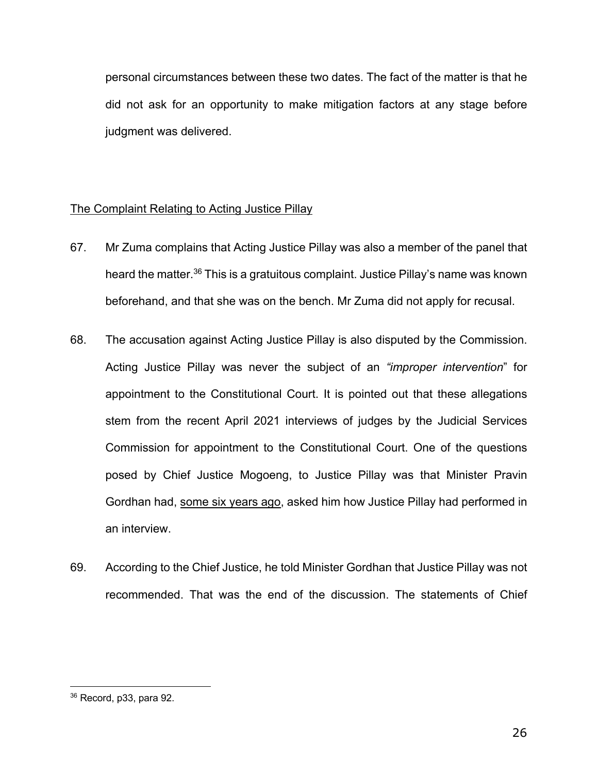personal circumstances between these two dates. The fact of the matter is that he did not ask for an opportunity to make mitigation factors at any stage before judgment was delivered.

#### The Complaint Relating to Acting Justice Pillay

- 67. Mr Zuma complains that Acting Justice Pillay was also a member of the panel that heard the matter.<sup>36</sup> This is a gratuitous complaint. Justice Pillay's name was known beforehand, and that she was on the bench. Mr Zuma did not apply for recusal.
- 68. The accusation against Acting Justice Pillay is also disputed by the Commission. Acting Justice Pillay was never the subject of an *"improper intervention*" for appointment to the Constitutional Court. It is pointed out that these allegations stem from the recent April 2021 interviews of judges by the Judicial Services Commission for appointment to the Constitutional Court. One of the questions posed by Chief Justice Mogoeng, to Justice Pillay was that Minister Pravin Gordhan had, some six years ago, asked him how Justice Pillay had performed in an interview.
- 69. According to the Chief Justice, he told Minister Gordhan that Justice Pillay was not recommended. That was the end of the discussion. The statements of Chief

<sup>36</sup> Record, p33, para 92.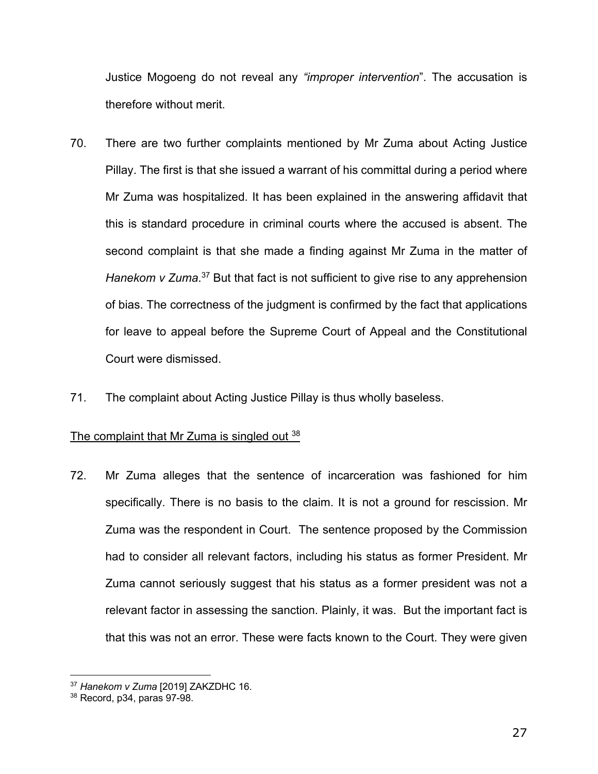Justice Mogoeng do not reveal any *"improper intervention*". The accusation is therefore without merit.

- 70. There are two further complaints mentioned by Mr Zuma about Acting Justice Pillay. The first is that she issued a warrant of his committal during a period where Mr Zuma was hospitalized. It has been explained in the answering affidavit that this is standard procedure in criminal courts where the accused is absent. The second complaint is that she made a finding against Mr Zuma in the matter of Hanekom v Zuma.<sup>37</sup> But that fact is not sufficient to give rise to any apprehension of bias. The correctness of the judgment is confirmed by the fact that applications for leave to appeal before the Supreme Court of Appeal and the Constitutional Court were dismissed.
- 71. The complaint about Acting Justice Pillay is thus wholly baseless.

## The complaint that Mr Zuma is singled out 38

72. Mr Zuma alleges that the sentence of incarceration was fashioned for him specifically. There is no basis to the claim. It is not a ground for rescission. Mr Zuma was the respondent in Court. The sentence proposed by the Commission had to consider all relevant factors, including his status as former President. Mr Zuma cannot seriously suggest that his status as a former president was not a relevant factor in assessing the sanction. Plainly, it was. But the important fact is that this was not an error. These were facts known to the Court. They were given

<sup>37</sup> *Hanekom v Zuma* [2019] ZAKZDHC 16.

<sup>38</sup> Record, p34, paras 97-98.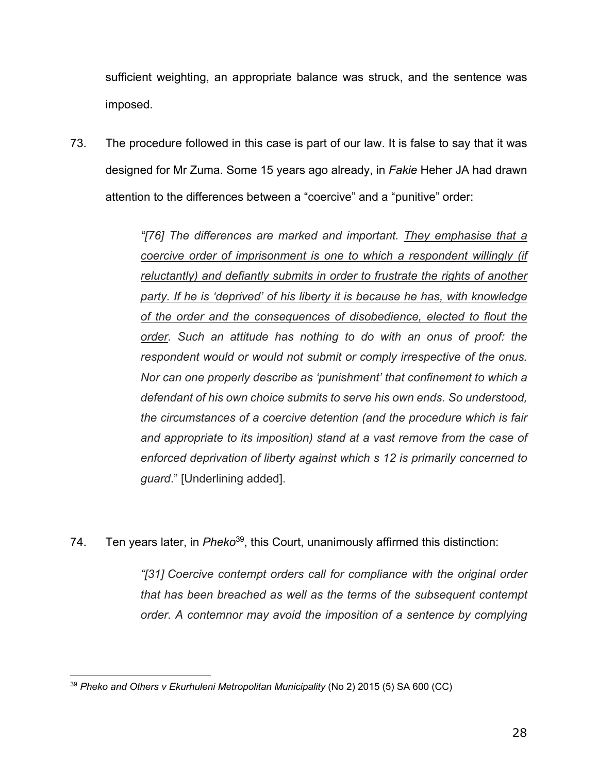sufficient weighting, an appropriate balance was struck, and the sentence was imposed.

73. The procedure followed in this case is part of our law. It is false to say that it was designed for Mr Zuma. Some 15 years ago already, in *Fakie* Heher JA had drawn attention to the differences between a "coercive" and a "punitive" order:

> *"[76] The differences are marked and important. They emphasise that a coercive order of imprisonment is one to which a respondent willingly (if reluctantly) and defiantly submits in order to frustrate the rights of another party. If he is 'deprived' of his liberty it is because he has, with knowledge of the order and the consequences of disobedience, elected to flout the order. Such an attitude has nothing to do with an onus of proof: the respondent would or would not submit or comply irrespective of the onus. Nor can one properly describe as 'punishment' that confinement to which a defendant of his own choice submits to serve his own ends. So understood, the circumstances of a coercive detention (and the procedure which is fair and appropriate to its imposition) stand at a vast remove from the case of enforced deprivation of liberty against which s 12 is primarily concerned to guard*." [Underlining added].

74. Ten years later, in *Pheko*39, this Court, unanimously affirmed this distinction:

*"[31] Coercive contempt orders call for compliance with the original order that has been breached as well as the terms of the subsequent contempt order. A contemnor may avoid the imposition of a sentence by complying* 

<sup>39</sup> *Pheko and Others v Ekurhuleni Metropolitan Municipality* (No 2) 2015 (5) SA 600 (CC)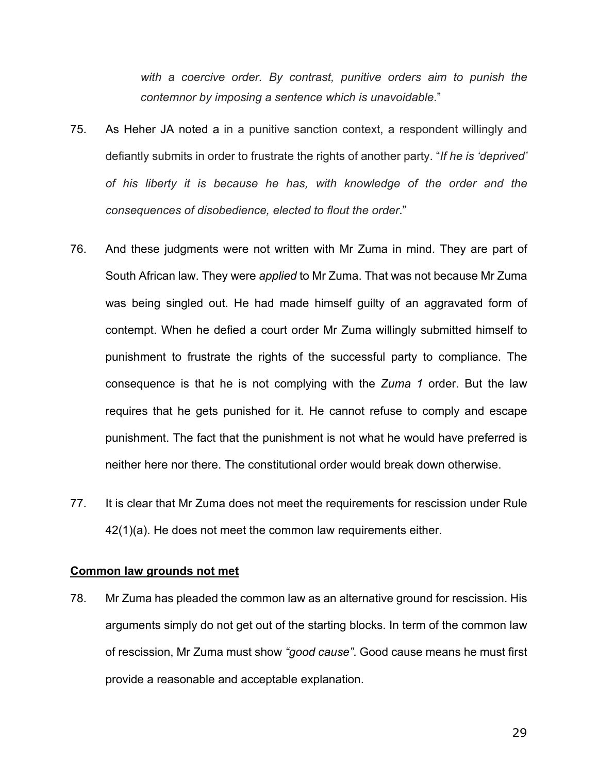*with a coercive order. By contrast, punitive orders aim to punish the contemnor by imposing a sentence which is unavoidable*."

- 75. As Heher JA noted a in a punitive sanction context, a respondent willingly and defiantly submits in order to frustrate the rights of another party. "*If he is 'deprived' of his liberty it is because he has, with knowledge of the order and the consequences of disobedience, elected to flout the order*."
- 76. And these judgments were not written with Mr Zuma in mind. They are part of South African law. They were *applied* to Mr Zuma. That was not because Mr Zuma was being singled out. He had made himself guilty of an aggravated form of contempt. When he defied a court order Mr Zuma willingly submitted himself to punishment to frustrate the rights of the successful party to compliance. The consequence is that he is not complying with the *Zuma 1* order. But the law requires that he gets punished for it. He cannot refuse to comply and escape punishment. The fact that the punishment is not what he would have preferred is neither here nor there. The constitutional order would break down otherwise.
- 77. It is clear that Mr Zuma does not meet the requirements for rescission under Rule 42(1)(a). He does not meet the common law requirements either.

#### **Common law grounds not met**

78. Mr Zuma has pleaded the common law as an alternative ground for rescission. His arguments simply do not get out of the starting blocks. In term of the common law of rescission, Mr Zuma must show *"good cause"*. Good cause means he must first provide a reasonable and acceptable explanation.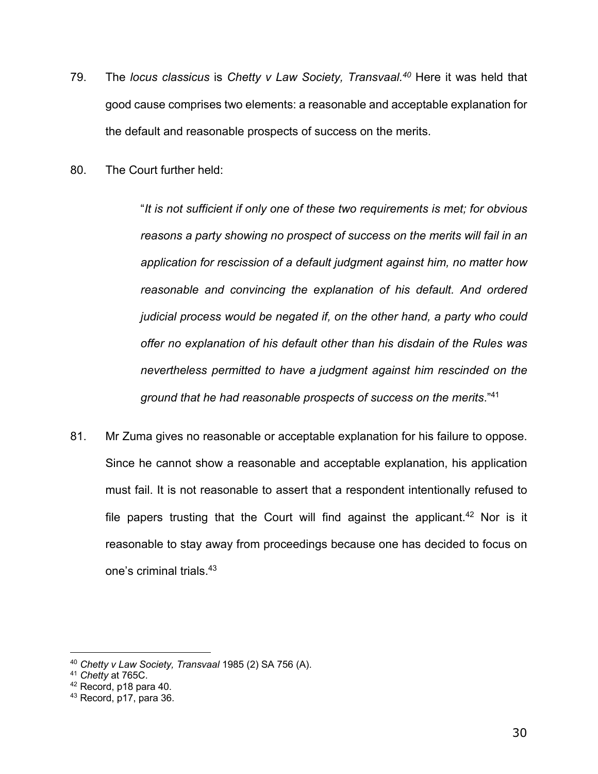- 79. The *locus classicus* is *Chetty v Law Society, Transvaal. <sup>40</sup>* Here it was held that good cause comprises two elements: a reasonable and acceptable explanation for the default and reasonable prospects of success on the merits.
- 80. The Court further held:

"*It is not sufficient if only one of these two requirements is met; for obvious reasons a party showing no prospect of success on the merits will fail in an application for rescission of a default judgment against him, no matter how reasonable and convincing the explanation of his default. And ordered judicial process would be negated if, on the other hand, a party who could offer no explanation of his default other than his disdain of the Rules was nevertheless permitted to have a judgment against him rescinded on the ground that he had reasonable prospects of success on the merits*." 41

81. Mr Zuma gives no reasonable or acceptable explanation for his failure to oppose. Since he cannot show a reasonable and acceptable explanation, his application must fail. It is not reasonable to assert that a respondent intentionally refused to file papers trusting that the Court will find against the applicant.<sup>42</sup> Nor is it reasonable to stay away from proceedings because one has decided to focus on one's criminal trials.43

<sup>40</sup> *Chetty v Law Society, Transvaal* 1985 (2) SA 756 (A).

<sup>41</sup> *Chetty* at 765C.

 $42$  Record, p18 para 40.

<sup>43</sup> Record, p17, para 36.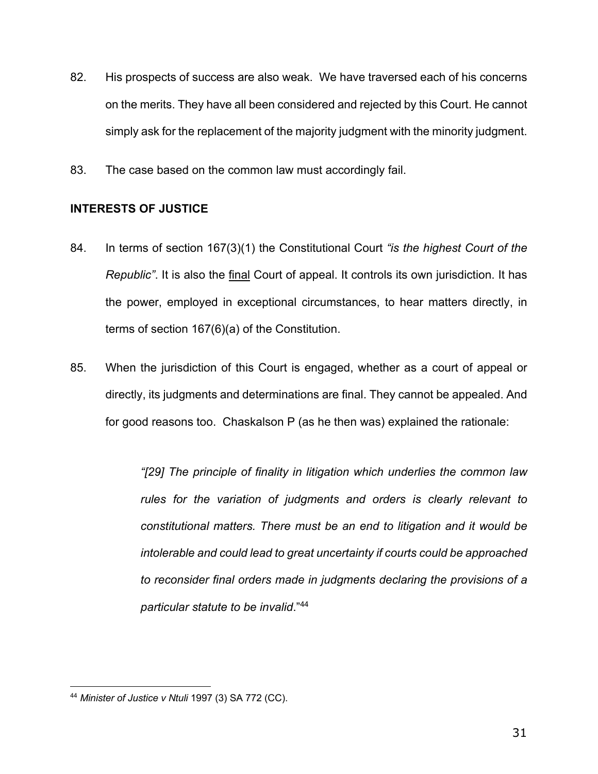- 82. His prospects of success are also weak. We have traversed each of his concerns on the merits. They have all been considered and rejected by this Court. He cannot simply ask for the replacement of the majority judgment with the minority judgment.
- 83. The case based on the common law must accordingly fail.

# **INTERESTS OF JUSTICE**

- 84. In terms of section 167(3)(1) the Constitutional Court *"is the highest Court of the Republic"*. It is also the final Court of appeal. It controls its own jurisdiction. It has the power, employed in exceptional circumstances, to hear matters directly, in terms of section 167(6)(a) of the Constitution.
- 85. When the jurisdiction of this Court is engaged, whether as a court of appeal or directly, its judgments and determinations are final. They cannot be appealed. And for good reasons too. Chaskalson P (as he then was) explained the rationale:

*"[29] The principle of finality in litigation which underlies the common law rules for the variation of judgments and orders is clearly relevant to constitutional matters. There must be an end to litigation and it would be intolerable and could lead to great uncertainty if courts could be approached to reconsider final orders made in judgments declaring the provisions of a particular statute to be invalid*."44

<sup>44</sup> *Minister of Justice v Ntuli* 1997 (3) SA 772 (CC).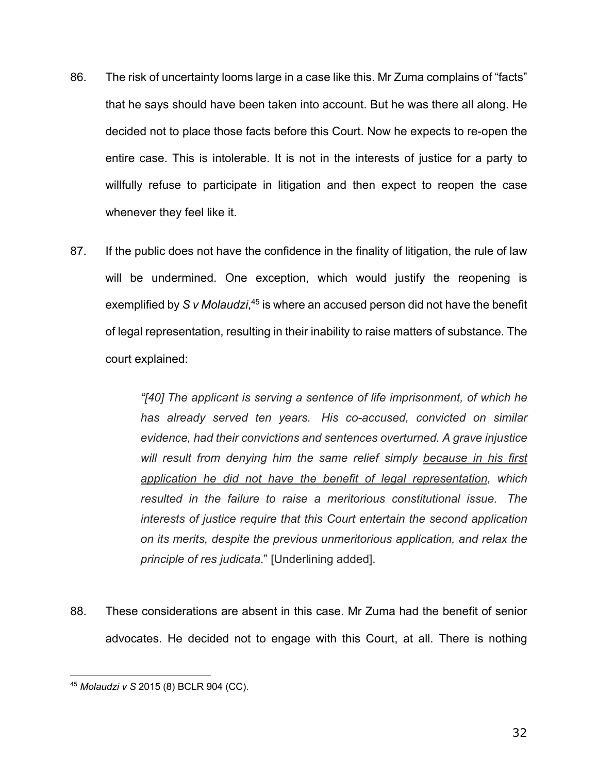- 86. The risk of uncertainty looms large in a case like this. Mr Zuma complains of "facts" that he says should have been taken into account. But he was there all along. He decided not to place those facts before this Court. Now he expects to re-open the entire case. This is intolerable. It is not in the interests of justice for a party to willfully refuse to participate in litigation and then expect to reopen the case whenever they feel like it.
- 87. If the public does not have the confidence in the finality of litigation, the rule of law will be undermined. One exception, which would justify the reopening is exemplified by *S v Molaudzi*, <sup>45</sup> is where an accused person did not have the benefit of legal representation, resulting in their inability to raise matters of substance. The court explained:

*"[40] The applicant is serving a sentence of life imprisonment, of which he has already served ten years. His co-accused, convicted on similar evidence, had their convictions and sentences overturned. A grave injustice will result from denying him the same relief simply because in his first application he did not have the benefit of legal representation, which resulted in the failure to raise a meritorious constitutional issue. The interests of justice require that this Court entertain the second application on its merits, despite the previous unmeritorious application, and relax the principle of res judicata*." [Underlining added].

88. These considerations are absent in this case. Mr Zuma had the benefit of senior advocates. He decided not to engage with this Court, at all. There is nothing

<sup>45</sup> *Molaudzi v S* 2015 (8) BCLR 904 (CC).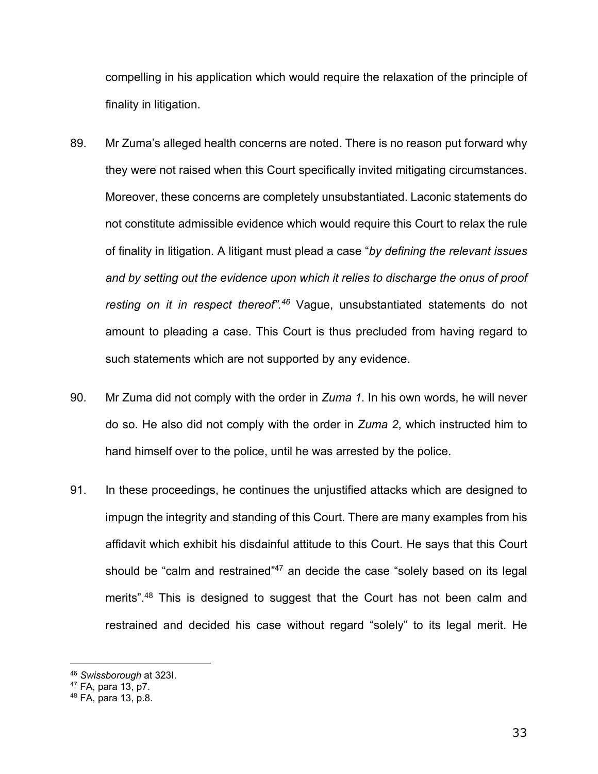compelling in his application which would require the relaxation of the principle of finality in litigation.

- 89. Mr Zuma's alleged health concerns are noted. There is no reason put forward why they were not raised when this Court specifically invited mitigating circumstances. Moreover, these concerns are completely unsubstantiated. Laconic statements do not constitute admissible evidence which would require this Court to relax the rule of finality in litigation. A litigant must plead a case "*by defining the relevant issues and by setting out the evidence upon which it relies to discharge the onus of proof resting on it in respect thereof".46* Vague, unsubstantiated statements do not amount to pleading a case. This Court is thus precluded from having regard to such statements which are not supported by any evidence.
- 90. Mr Zuma did not comply with the order in *Zuma 1*. In his own words, he will never do so. He also did not comply with the order in *Zuma 2*, which instructed him to hand himself over to the police, until he was arrested by the police.
- 91. In these proceedings, he continues the unjustified attacks which are designed to impugn the integrity and standing of this Court. There are many examples from his affidavit which exhibit his disdainful attitude to this Court. He says that this Court should be "calm and restrained"<sup>47</sup> an decide the case "solely based on its legal merits".<sup>48</sup> This is designed to suggest that the Court has not been calm and restrained and decided his case without regard "solely" to its legal merit. He

<sup>46</sup> *Swissborough* at 323I.

 $47$  FA, para 13, p7.

<sup>48</sup> FA, para 13, p.8.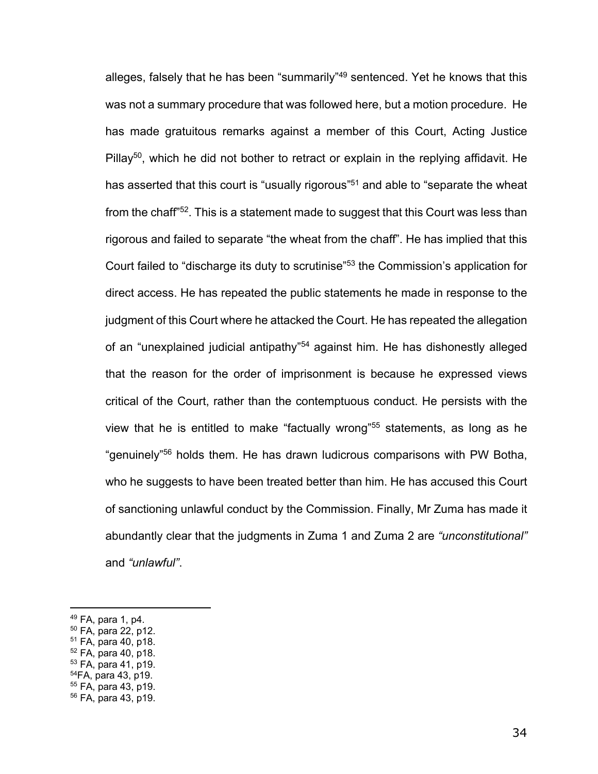alleges, falsely that he has been "summarily"<sup>49</sup> sentenced. Yet he knows that this was not a summary procedure that was followed here, but a motion procedure. He has made gratuitous remarks against a member of this Court, Acting Justice Pillay<sup>50</sup>, which he did not bother to retract or explain in the replying affidavit. He has asserted that this court is "usually rigorous"<sup>51</sup> and able to "separate the wheat from the chaff<sup>"52</sup>. This is a statement made to suggest that this Court was less than rigorous and failed to separate "the wheat from the chaff". He has implied that this Court failed to "discharge its duty to scrutinise"53 the Commission's application for direct access. He has repeated the public statements he made in response to the judgment of this Court where he attacked the Court. He has repeated the allegation of an "unexplained judicial antipathy"54 against him. He has dishonestly alleged that the reason for the order of imprisonment is because he expressed views critical of the Court, rather than the contemptuous conduct. He persists with the view that he is entitled to make "factually wrong"55 statements, as long as he "genuinely"56 holds them. He has drawn ludicrous comparisons with PW Botha, who he suggests to have been treated better than him. He has accused this Court of sanctioning unlawful conduct by the Commission. Finally, Mr Zuma has made it abundantly clear that the judgments in Zuma 1 and Zuma 2 are *"unconstitutional"*  and *"unlawful"*.

- $51$  FA, para 40, p18.
- <sup>52</sup> FA, para 40, p18.
- <sup>53</sup> FA, para 41, p19.
- 54FA, para 43, p19.

 $49$  FA, para 1, p4.

<sup>50</sup> FA, para 22, p12.

<sup>55</sup> FA, para 43, p19. <sup>56</sup> FA, para 43, p19.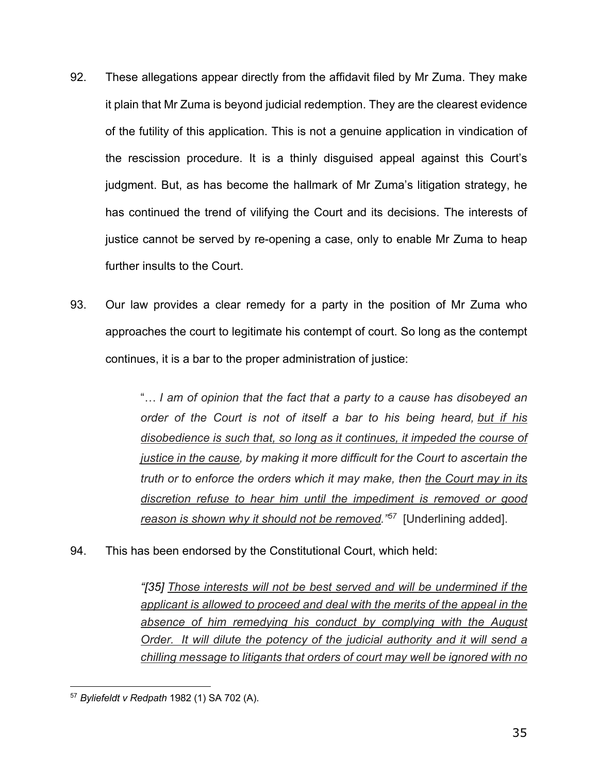- 92. These allegations appear directly from the affidavit filed by Mr Zuma. They make it plain that Mr Zuma is beyond judicial redemption. They are the clearest evidence of the futility of this application. This is not a genuine application in vindication of the rescission procedure. It is a thinly disguised appeal against this Court's judgment. But, as has become the hallmark of Mr Zuma's litigation strategy, he has continued the trend of vilifying the Court and its decisions. The interests of justice cannot be served by re-opening a case, only to enable Mr Zuma to heap further insults to the Court.
- 93. Our law provides a clear remedy for a party in the position of Mr Zuma who approaches the court to legitimate his contempt of court. So long as the contempt continues, it is a bar to the proper administration of justice:

"… *I am of opinion that the fact that a party to a cause has disobeyed an order of the Court is not of itself a bar to his being heard, but if his disobedience is such that, so long as it continues, it impeded the course of justice in the cause, by making it more difficult for the Court to ascertain the truth or to enforce the orders which it may make, then the Court may in its discretion refuse to hear him until the impediment is removed or good reason is shown why it should not be removed."57* [Underlining added].

94. This has been endorsed by the Constitutional Court, which held:

*"[35] Those interests will not be best served and will be undermined if the applicant is allowed to proceed and deal with the merits of the appeal in the absence of him remedying his conduct by complying with the August Order. It will dilute the potency of the judicial authority and it will send a chilling message to litigants that orders of court may well be ignored with no* 

<sup>57</sup> *Byliefeldt v Redpath* 1982 (1) SA 702 (A).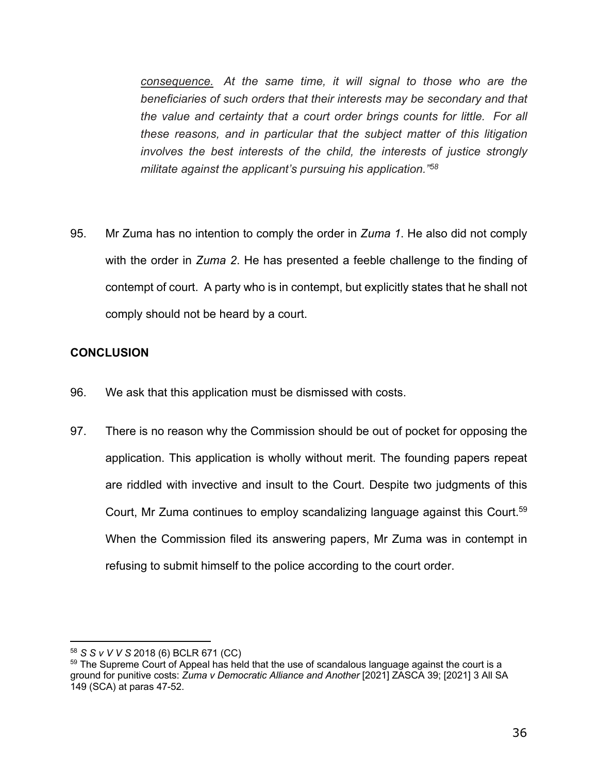*consequence. At the same time, it will signal to those who are the beneficiaries of such orders that their interests may be secondary and that the value and certainty that a court order brings counts for little. For all these reasons, and in particular that the subject matter of this litigation involves the best interests of the child, the interests of justice strongly militate against the applicant's pursuing his application."58*

95. Mr Zuma has no intention to comply the order in *Zuma 1*. He also did not comply with the order in *Zuma 2*. He has presented a feeble challenge to the finding of contempt of court. A party who is in contempt, but explicitly states that he shall not comply should not be heard by a court.

## **CONCLUSION**

- 96. We ask that this application must be dismissed with costs.
- 97. There is no reason why the Commission should be out of pocket for opposing the application. This application is wholly without merit. The founding papers repeat are riddled with invective and insult to the Court. Despite two judgments of this Court, Mr Zuma continues to employ scandalizing language against this Court.<sup>59</sup> When the Commission filed its answering papers, Mr Zuma was in contempt in refusing to submit himself to the police according to the court order.

<sup>58</sup> *S S v V V S* 2018 (6) BCLR 671 (CC)

 $<sup>59</sup>$  The Supreme Court of Appeal has held that the use of scandalous language against the court is a</sup> ground for punitive costs: *Zuma v Democratic Alliance and Another* [2021] ZASCA 39; [2021] 3 All SA 149 (SCA) at paras 47-52.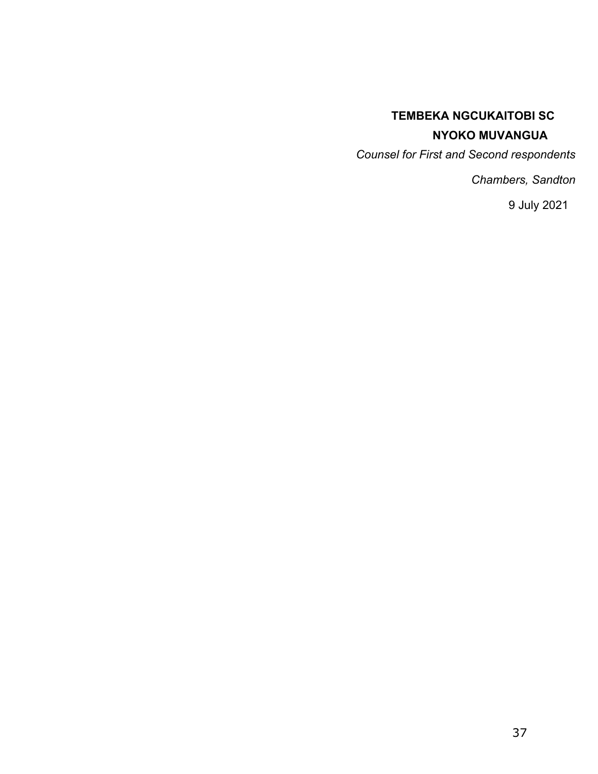# **TEMBEKA NGCUKAITOBI SC NYOKO MUVANGUA**

*Counsel for First and Second respondents* 

*Chambers, Sandton* 

9 July 2021